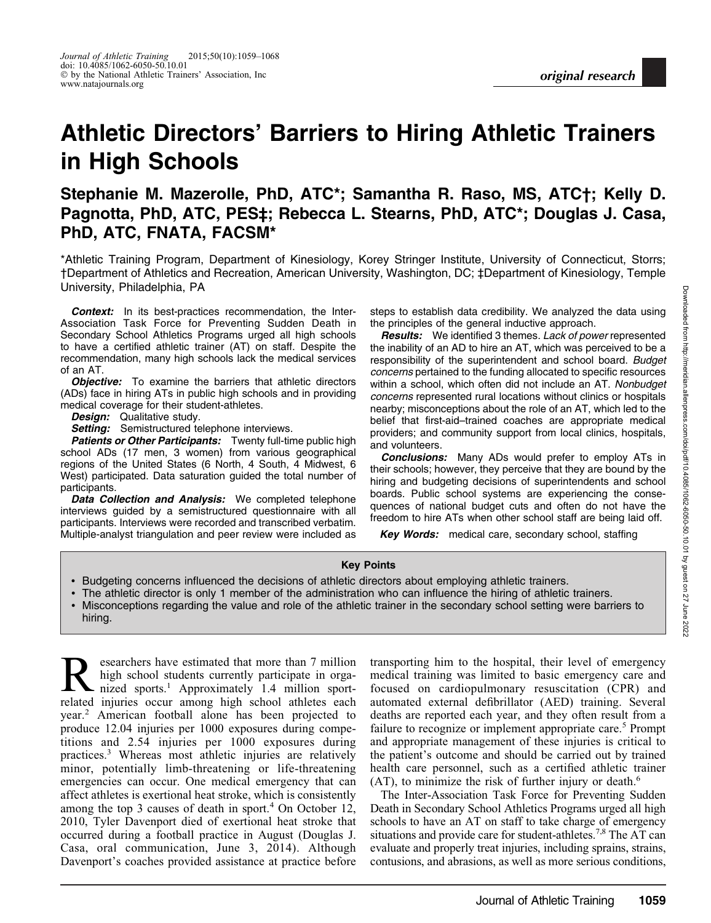# Athletic Directors' Barriers to Hiring Athletic Trainers in High Schools

## Stephanie M. Mazerolle, PhD, ATC\*; Samantha R. Raso, MS, ATC†; Kelly D. Pagnotta, PhD, ATC, PES‡; Rebecca L. Stearns, PhD, ATC\*; Douglas J. Casa, PhD, ATC, FNATA, FACSM\*

\*Athletic Training Program, Department of Kinesiology, Korey Stringer Institute, University of Connecticut, Storrs; †Department of Athletics and Recreation, American University, Washington, DC; ‡Department of Kinesiology, Temple University, Philadelphia, PA

**Context:** In its best-practices recommendation, the Inter-Association Task Force for Preventing Sudden Death in Secondary School Athletics Programs urged all high schools to have a certified athletic trainer (AT) on staff. Despite the recommendation, many high schools lack the medical services of an AT.

**Objective:** To examine the barriers that athletic directors (ADs) face in hiring ATs in public high schools and in providing medical coverage for their student-athletes.

**Design:** Qualitative study.

Setting: Semistructured telephone interviews.

Patients or Other Participants: Twenty full-time public high school ADs (17 men, 3 women) from various geographical regions of the United States (6 North, 4 South, 4 Midwest, 6 West) participated. Data saturation guided the total number of participants.

Data Collection and Analysis: We completed telephone interviews guided by a semistructured questionnaire with all participants. Interviews were recorded and transcribed verbatim. Multiple-analyst triangulation and peer review were included as steps to establish data credibility. We analyzed the data using the principles of the general inductive approach.

**Results:** We identified 3 themes. Lack of power represented the inability of an AD to hire an AT, which was perceived to be a responsibility of the superintendent and school board. Budget concerns pertained to the funding allocated to specific resources within a school, which often did not include an AT. Nonbudget concerns represented rural locations without clinics or hospitals nearby; misconceptions about the role of an AT, which led to the belief that first-aid–trained coaches are appropriate medical providers; and community support from local clinics, hospitals, and volunteers.

**Conclusions:** Many ADs would prefer to employ ATs in their schools; however, they perceive that they are bound by the hiring and budgeting decisions of superintendents and school boards. Public school systems are experiencing the consequences of national budget cuts and often do not have the freedom to hire ATs when other school staff are being laid off.

**Key Words:** medical care, secondary school, staffing

#### Key Points

- Budgeting concerns influenced the decisions of athletic directors about employing athletic trainers.
- The athletic director is only 1 member of the administration who can influence the hiring of athletic trainers.
- Misconceptions regarding the value and role of the athletic trainer in the secondary school setting were barriers to hiring.

Researchers have estimated that more than 7 million<br>high school students currently participate in orga-<br>nized sports.<sup>1</sup> Approximately 1.4 million sporthigh school students currently participate in orgarelated injuries occur among high school athletes each year.<sup>2</sup> American football alone has been projected to produce 12.04 injuries per 1000 exposures during competitions and 2.54 injuries per 1000 exposures during practices.<sup>3</sup> Whereas most athletic injuries are relatively minor, potentially limb-threatening or life-threatening emergencies can occur. One medical emergency that can affect athletes is exertional heat stroke, which is consistently among the top 3 causes of death in sport.<sup>4</sup> On October 12, 2010, Tyler Davenport died of exertional heat stroke that occurred during a football practice in August (Douglas J. Casa, oral communication, June 3, 2014). Although Davenport's coaches provided assistance at practice before

transporting him to the hospital, their level of emergency medical training was limited to basic emergency care and focused on cardiopulmonary resuscitation (CPR) and automated external defibrillator (AED) training. Several deaths are reported each year, and they often result from a failure to recognize or implement appropriate care.<sup>5</sup> Prompt and appropriate management of these injuries is critical to the patient's outcome and should be carried out by trained health care personnel, such as a certified athletic trainer  $(AT)$ , to minimize the risk of further injury or death.<sup>6</sup>

The Inter-Association Task Force for Preventing Sudden Death in Secondary School Athletics Programs urged all high schools to have an AT on staff to take charge of emergency situations and provide care for student-athletes.<sup>7,8</sup> The AT can evaluate and properly treat injuries, including sprains, strains, contusions, and abrasions, as well as more serious conditions,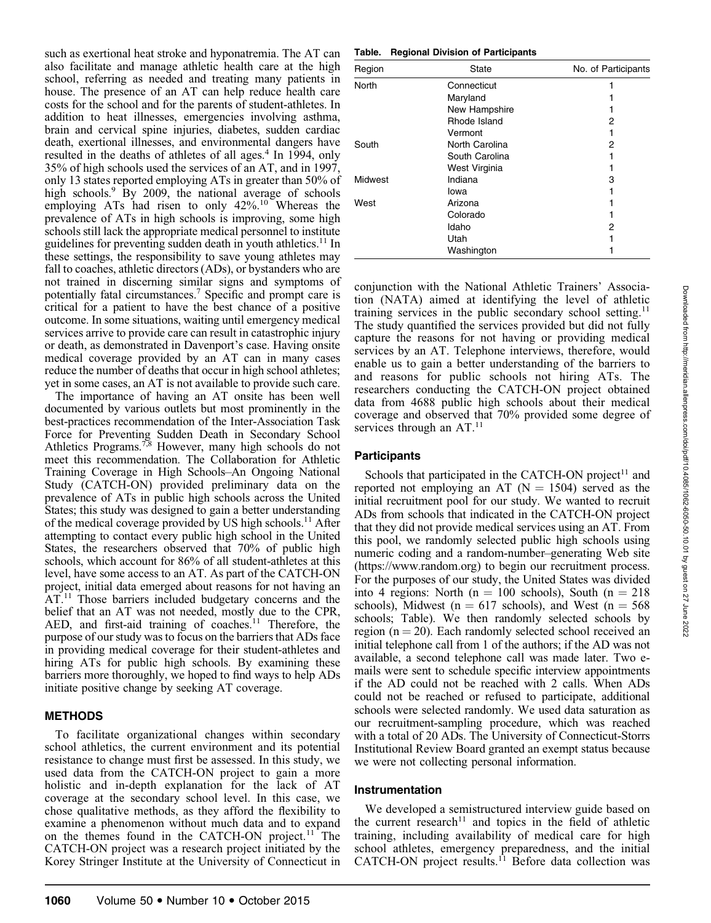such as exertional heat stroke and hyponatremia. The AT can also facilitate and manage athletic health care at the high school, referring as needed and treating many patients in house. The presence of an AT can help reduce health care costs for the school and for the parents of student-athletes. In addition to heat illnesses, emergencies involving asthma, brain and cervical spine injuries, diabetes, sudden cardiac death, exertional illnesses, and environmental dangers have resulted in the deaths of athletes of all ages. $4$  In 1994, only 35% of high schools used the services of an AT, and in 1997, only 13 states reported employing ATs in greater than 50% of high schools.<sup>9</sup> By 2009, the national average of schools employing ATs had risen to only  $42\%$ .<sup>10</sup> Whereas the prevalence of ATs in high schools is improving, some high schools still lack the appropriate medical personnel to institute guidelines for preventing sudden death in youth athletics.<sup>11</sup> In these settings, the responsibility to save young athletes may fall to coaches, athletic directors (ADs), or bystanders who are not trained in discerning similar signs and symptoms of potentially fatal circumstances.7 Specific and prompt care is critical for a patient to have the best chance of a positive outcome. In some situations, waiting until emergency medical services arrive to provide care can result in catastrophic injury or death, as demonstrated in Davenport's case. Having onsite medical coverage provided by an AT can in many cases reduce the number of deaths that occur in high school athletes; yet in some cases, an AT is not available to provide such care.

The importance of having an AT onsite has been well documented by various outlets but most prominently in the best-practices recommendation of the Inter-Association Task Force for Preventing Sudden Death in Secondary School Athletics Programs.<sup>7,8</sup> However, many high schools do not meet this recommendation. The Collaboration for Athletic Training Coverage in High Schools–An Ongoing National Study (CATCH-ON) provided preliminary data on the prevalence of ATs in public high schools across the United States; this study was designed to gain a better understanding of the medical coverage provided by US high schools.<sup>11</sup> After attempting to contact every public high school in the United States, the researchers observed that 70% of public high schools, which account for 86% of all student-athletes at this level, have some access to an AT. As part of the CATCH-ON project, initial data emerged about reasons for not having an AT.<sup>11</sup> Those barriers included budgetary concerns and the belief that an AT was not needed, mostly due to the CPR, AED, and first-aid training of coaches.<sup>11</sup> Therefore, the purpose of our study was to focus on the barriers that ADs face in providing medical coverage for their student-athletes and hiring ATs for public high schools. By examining these barriers more thoroughly, we hoped to find ways to help ADs initiate positive change by seeking AT coverage.

## METHODS

To facilitate organizational changes within secondary school athletics, the current environment and its potential resistance to change must first be assessed. In this study, we used data from the CATCH-ON project to gain a more holistic and in-depth explanation for the lack of AT coverage at the secondary school level. In this case, we chose qualitative methods, as they afford the flexibility to examine a phenomenon without much data and to expand on the themes found in the CATCH-ON project.<sup>11</sup> The CATCH-ON project was a research project initiated by the Korey Stringer Institute at the University of Connecticut in

Table. Regional Division of Participants

| Region  | State          | No. of Participants |
|---------|----------------|---------------------|
| North   | Connecticut    |                     |
|         | Maryland       |                     |
|         | New Hampshire  |                     |
|         | Rhode Island   | 2                   |
|         | Vermont        |                     |
| South   | North Carolina | 2                   |
|         | South Carolina |                     |
|         | West Virginia  |                     |
| Midwest | Indiana        | 3                   |
|         | lowa           |                     |
| West    | Arizona        |                     |
|         | Colorado       |                     |
|         | Idaho          | 2                   |
|         | Utah           |                     |
|         | Washington     |                     |

conjunction with the National Athletic Trainers' Association (NATA) aimed at identifying the level of athletic training services in the public secondary school setting.<sup>11</sup> The study quantified the services provided but did not fully capture the reasons for not having or providing medical services by an AT. Telephone interviews, therefore, would enable us to gain a better understanding of the barriers to and reasons for public schools not hiring ATs. The researchers conducting the CATCH-ON project obtained data from 4688 public high schools about their medical coverage and observed that 70% provided some degree of services through an  $AT<sup>11</sup>$ 

## **Participants**

Schools that participated in the CATCH-ON project<sup>11</sup> and reported not employing an AT ( $N = 1504$ ) served as the initial recruitment pool for our study. We wanted to recruit ADs from schools that indicated in the CATCH-ON project that they did not provide medical services using an AT. From this pool, we randomly selected public high schools using numeric coding and a random-number–generating Web site (https://www.random.org) to begin our recruitment process. For the purposes of our study, the United States was divided into 4 regions: North (n = 100 schools), South (n = 218 schools), Midwest ( $n = 617$  schools), and West ( $n = 568$ schools; Table). We then randomly selected schools by region ( $n = 20$ ). Each randomly selected school received an initial telephone call from 1 of the authors; if the AD was not available, a second telephone call was made later. Two emails were sent to schedule specific interview appointments if the AD could not be reached with 2 calls. When ADs could not be reached or refused to participate, additional schools were selected randomly. We used data saturation as our recruitment-sampling procedure, which was reached with a total of 20 ADs. The University of Connecticut-Storrs Institutional Review Board granted an exempt status because we were not collecting personal information.

## Instrumentation

We developed a semistructured interview guide based on the current research<sup>11</sup> and topics in the field of athletic training, including availability of medical care for high school athletes, emergency preparedness, and the initial CATCH-ON project results.<sup>11</sup> Before data collection was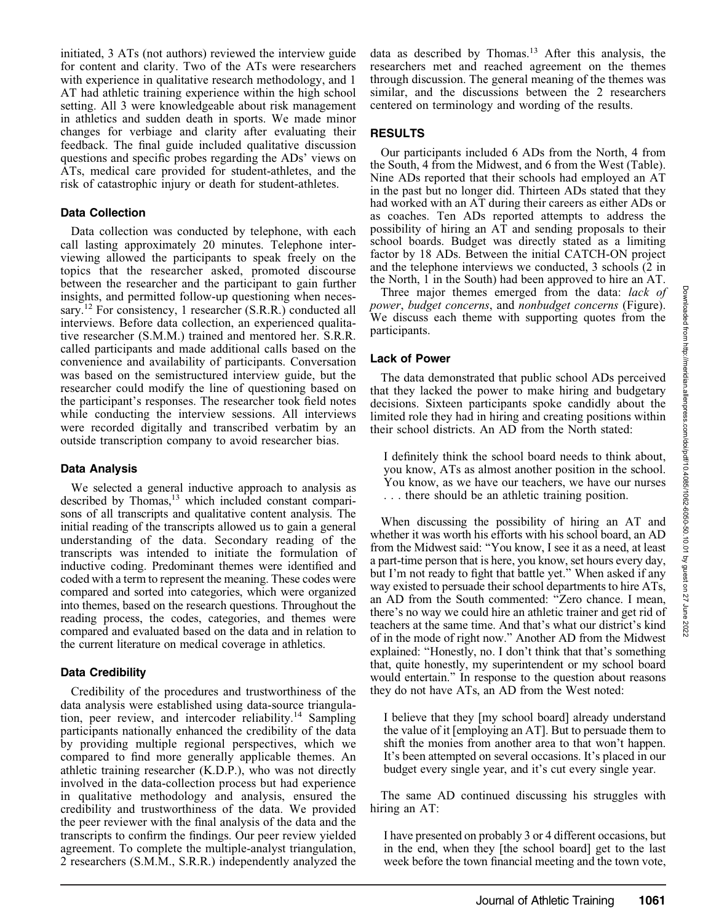initiated, 3 ATs (not authors) reviewed the interview guide for content and clarity. Two of the ATs were researchers with experience in qualitative research methodology, and 1 AT had athletic training experience within the high school setting. All 3 were knowledgeable about risk management in athletics and sudden death in sports. We made minor changes for verbiage and clarity after evaluating their feedback. The final guide included qualitative discussion questions and specific probes regarding the ADs' views on ATs, medical care provided for student-athletes, and the risk of catastrophic injury or death for student-athletes.

## Data Collection

Data collection was conducted by telephone, with each call lasting approximately 20 minutes. Telephone interviewing allowed the participants to speak freely on the topics that the researcher asked, promoted discourse between the researcher and the participant to gain further insights, and permitted follow-up questioning when necessary.<sup>12</sup> For consistency, 1 researcher (S.R.R.) conducted all interviews. Before data collection, an experienced qualitative researcher (S.M.M.) trained and mentored her. S.R.R. called participants and made additional calls based on the convenience and availability of participants. Conversation was based on the semistructured interview guide, but the researcher could modify the line of questioning based on the participant's responses. The researcher took field notes while conducting the interview sessions. All interviews were recorded digitally and transcribed verbatim by an outside transcription company to avoid researcher bias.

## Data Analysis

We selected a general inductive approach to analysis as described by Thomas,<sup>13</sup> which included constant comparisons of all transcripts and qualitative content analysis. The initial reading of the transcripts allowed us to gain a general understanding of the data. Secondary reading of the transcripts was intended to initiate the formulation of inductive coding. Predominant themes were identified and coded with a term to represent the meaning. These codes were compared and sorted into categories, which were organized into themes, based on the research questions. Throughout the reading process, the codes, categories, and themes were compared and evaluated based on the data and in relation to the current literature on medical coverage in athletics.

## Data Credibility

Credibility of the procedures and trustworthiness of the data analysis were established using data-source triangulation, peer review, and intercoder reliability.14 Sampling participants nationally enhanced the credibility of the data by providing multiple regional perspectives, which we compared to find more generally applicable themes. An athletic training researcher (K.D.P.), who was not directly involved in the data-collection process but had experience in qualitative methodology and analysis, ensured the credibility and trustworthiness of the data. We provided the peer reviewer with the final analysis of the data and the transcripts to confirm the findings. Our peer review yielded agreement. To complete the multiple-analyst triangulation, 2 researchers (S.M.M., S.R.R.) independently analyzed the

data as described by Thomas.<sup>13</sup> After this analysis, the researchers met and reached agreement on the themes through discussion. The general meaning of the themes was similar, and the discussions between the 2 researchers centered on terminology and wording of the results.

## RESULTS

Our participants included 6 ADs from the North, 4 from the South, 4 from the Midwest, and 6 from the West (Table). Nine ADs reported that their schools had employed an AT in the past but no longer did. Thirteen ADs stated that they had worked with an AT during their careers as either ADs or as coaches. Ten ADs reported attempts to address the possibility of hiring an AT and sending proposals to their school boards. Budget was directly stated as a limiting factor by 18 ADs. Between the initial CATCH-ON project and the telephone interviews we conducted, 3 schools (2 in the North, 1 in the South) had been approved to hire an AT.

Three major themes emerged from the data: lack of power, budget concerns, and nonbudget concerns (Figure). We discuss each theme with supporting quotes from the participants.

## Lack of Power

The data demonstrated that public school ADs perceived that they lacked the power to make hiring and budgetary decisions. Sixteen participants spoke candidly about the limited role they had in hiring and creating positions within their school districts. An AD from the North stated:

I definitely think the school board needs to think about, you know, ATs as almost another position in the school. You know, as we have our teachers, we have our nurses . . . there should be an athletic training position.

When discussing the possibility of hiring an AT and whether it was worth his efforts with his school board, an AD from the Midwest said: ''You know, I see it as a need, at least a part-time person that is here, you know, set hours every day, but I'm not ready to fight that battle yet.'' When asked if any way existed to persuade their school departments to hire ATs, an AD from the South commented: ''Zero chance. I mean, there's no way we could hire an athletic trainer and get rid of teachers at the same time. And that's what our district's kind of in the mode of right now.'' Another AD from the Midwest explained: ''Honestly, no. I don't think that that's something that, quite honestly, my superintendent or my school board would entertain.'' In response to the question about reasons they do not have ATs, an AD from the West noted:

I believe that they [my school board] already understand the value of it [employing an AT]. But to persuade them to shift the monies from another area to that won't happen. It's been attempted on several occasions. It's placed in our budget every single year, and it's cut every single year.

The same AD continued discussing his struggles with hiring an AT:

I have presented on probably 3 or 4 different occasions, but in the end, when they [the school board] get to the last week before the town financial meeting and the town vote,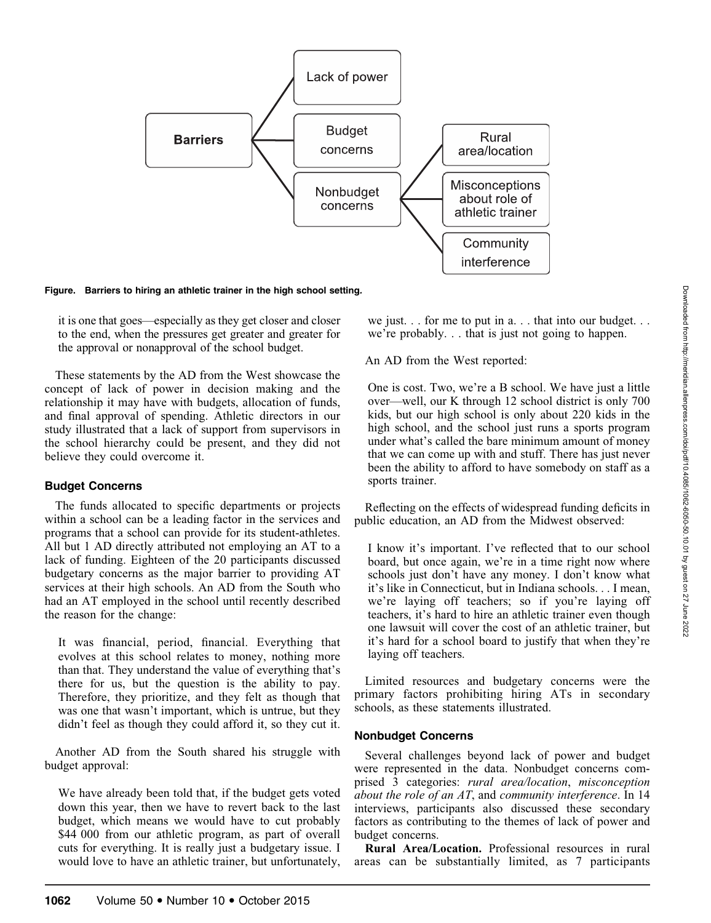

Figure. Barriers to hiring an athletic trainer in the high school setting.

it is one that goes—especially as they get closer and closer to the end, when the pressures get greater and greater for the approval or nonapproval of the school budget.

These statements by the AD from the West showcase the concept of lack of power in decision making and the relationship it may have with budgets, allocation of funds, and final approval of spending. Athletic directors in our study illustrated that a lack of support from supervisors in the school hierarchy could be present, and they did not believe they could overcome it.

#### Budget Concerns

The funds allocated to specific departments or projects within a school can be a leading factor in the services and programs that a school can provide for its student-athletes. All but 1 AD directly attributed not employing an AT to a lack of funding. Eighteen of the 20 participants discussed budgetary concerns as the major barrier to providing AT services at their high schools. An AD from the South who had an AT employed in the school until recently described the reason for the change:

It was financial, period, financial. Everything that evolves at this school relates to money, nothing more than that. They understand the value of everything that's there for us, but the question is the ability to pay. Therefore, they prioritize, and they felt as though that was one that wasn't important, which is untrue, but they didn't feel as though they could afford it, so they cut it.

Another AD from the South shared his struggle with budget approval:

We have already been told that, if the budget gets voted down this year, then we have to revert back to the last budget, which means we would have to cut probably \$44 000 from our athletic program, as part of overall cuts for everything. It is really just a budgetary issue. I would love to have an athletic trainer, but unfortunately, we just. . . for me to put in a... that into our budget. . . we're probably. . . that is just not going to happen.

An AD from the West reported:

One is cost. Two, we're a B school. We have just a little over—well, our K through 12 school district is only 700 kids, but our high school is only about 220 kids in the high school, and the school just runs a sports program under what's called the bare minimum amount of money that we can come up with and stuff. There has just never been the ability to afford to have somebody on staff as a sports trainer.

Reflecting on the effects of widespread funding deficits in public education, an AD from the Midwest observed:

I know it's important. I've reflected that to our school board, but once again, we're in a time right now where schools just don't have any money. I don't know what it's like in Connecticut, but in Indiana schools. . . I mean, we're laying off teachers; so if you're laying off teachers, it's hard to hire an athletic trainer even though one lawsuit will cover the cost of an athletic trainer, but it's hard for a school board to justify that when they're laying off teachers.

Limited resources and budgetary concerns were the primary factors prohibiting hiring ATs in secondary schools, as these statements illustrated.

#### Nonbudget Concerns

Several challenges beyond lack of power and budget were represented in the data. Nonbudget concerns comprised 3 categories: rural area/location, misconception about the role of an AT, and community interference. In 14 interviews, participants also discussed these secondary factors as contributing to the themes of lack of power and budget concerns.

Rural Area/Location. Professional resources in rural areas can be substantially limited, as 7 participants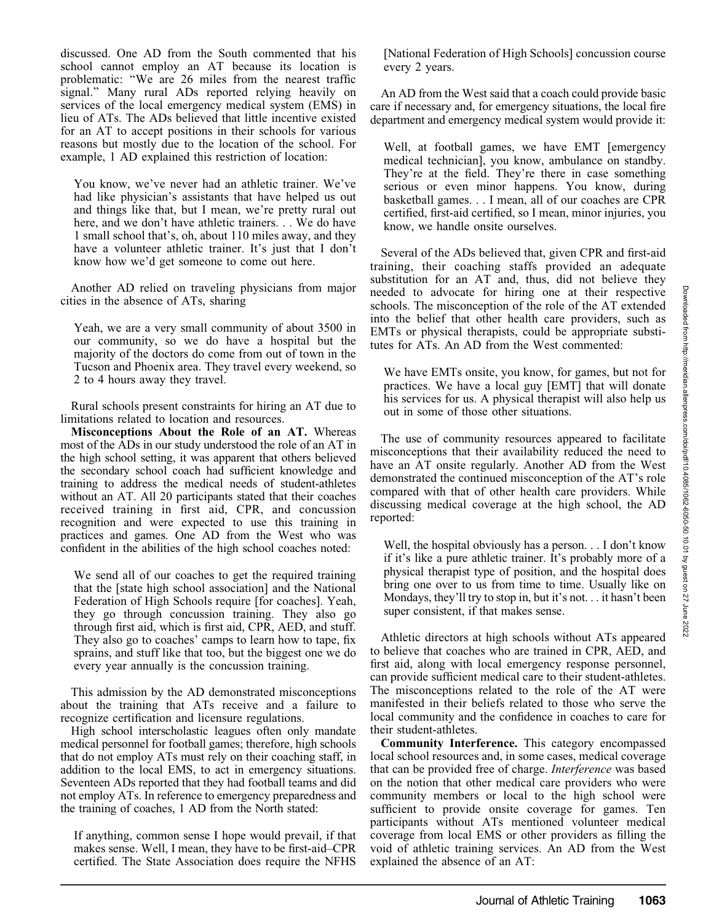discussed. One AD from the South commented that his school cannot employ an AT because its location is problematic: ''We are 26 miles from the nearest traffic signal.'' Many rural ADs reported relying heavily on services of the local emergency medical system (EMS) in lieu of ATs. The ADs believed that little incentive existed for an AT to accept positions in their schools for various reasons but mostly due to the location of the school. For example, 1 AD explained this restriction of location:

You know, we've never had an athletic trainer. We've had like physician's assistants that have helped us out and things like that, but I mean, we're pretty rural out here, and we don't have athletic trainers. . . We do have 1 small school that's, oh, about 110 miles away, and they have a volunteer athletic trainer. It's just that I don't know how we'd get someone to come out here.

Another AD relied on traveling physicians from major cities in the absence of ATs, sharing

Yeah, we are a very small community of about 3500 in our community, so we do have a hospital but the majority of the doctors do come from out of town in the Tucson and Phoenix area. They travel every weekend, so 2 to 4 hours away they travel.

Rural schools present constraints for hiring an AT due to limitations related to location and resources.

Misconceptions About the Role of an AT. Whereas most of the ADs in our study understood the role of an AT in the high school setting, it was apparent that others believed the secondary school coach had sufficient knowledge and training to address the medical needs of student-athletes without an AT. All 20 participants stated that their coaches received training in first aid, CPR, and concussion recognition and were expected to use this training in practices and games. One AD from the West who was confident in the abilities of the high school coaches noted:

We send all of our coaches to get the required training that the [state high school association] and the National Federation of High Schools require [for coaches]. Yeah, they go through concussion training. They also go through first aid, which is first aid, CPR, AED, and stuff. They also go to coaches' camps to learn how to tape, fix sprains, and stuff like that too, but the biggest one we do every year annually is the concussion training.

This admission by the AD demonstrated misconceptions about the training that ATs receive and a failure to recognize certification and licensure regulations.

High school interscholastic leagues often only mandate medical personnel for football games; therefore, high schools that do not employ ATs must rely on their coaching staff, in addition to the local EMS, to act in emergency situations. Seventeen ADs reported that they had football teams and did not employ ATs. In reference to emergency preparedness and the training of coaches, 1 AD from the North stated:

If anything, common sense I hope would prevail, if that makes sense. Well, I mean, they have to be first-aid–CPR certified. The State Association does require the NFHS [National Federation of High Schools] concussion course every 2 years.

An AD from the West said that a coach could provide basic care if necessary and, for emergency situations, the local fire department and emergency medical system would provide it:

Well, at football games, we have EMT [emergency medical technician], you know, ambulance on standby. They're at the field. They're there in case something serious or even minor happens. You know, during basketball games. . . I mean, all of our coaches are CPR certified, first-aid certified, so I mean, minor injuries, you know, we handle onsite ourselves.

Several of the ADs believed that, given CPR and first-aid training, their coaching staffs provided an adequate substitution for an AT and, thus, did not believe they needed to advocate for hiring one at their respective schools. The misconception of the role of the AT extended into the belief that other health care providers, such as EMTs or physical therapists, could be appropriate substitutes for ATs. An AD from the West commented:

We have EMTs onsite, you know, for games, but not for practices. We have a local guy [EMT] that will donate his services for us. A physical therapist will also help us out in some of those other situations.

The use of community resources appeared to facilitate misconceptions that their availability reduced the need to have an AT onsite regularly. Another AD from the West demonstrated the continued misconception of the AT's role compared with that of other health care providers. While discussing medical coverage at the high school, the AD reported:

Well, the hospital obviously has a person. . . I don't know if it's like a pure athletic trainer. It's probably more of a physical therapist type of position, and the hospital does bring one over to us from time to time. Usually like on Mondays, they'll try to stop in, but it's not. . . it hasn't been super consistent, if that makes sense.

Athletic directors at high schools without ATs appeared to believe that coaches who are trained in CPR, AED, and first aid, along with local emergency response personnel, can provide sufficient medical care to their student-athletes. The misconceptions related to the role of the AT were manifested in their beliefs related to those who serve the local community and the confidence in coaches to care for their student-athletes.

Community Interference. This category encompassed local school resources and, in some cases, medical coverage that can be provided free of charge. Interference was based on the notion that other medical care providers who were community members or local to the high school were sufficient to provide onsite coverage for games. Ten participants without ATs mentioned volunteer medical coverage from local EMS or other providers as filling the void of athletic training services. An AD from the West explained the absence of an AT: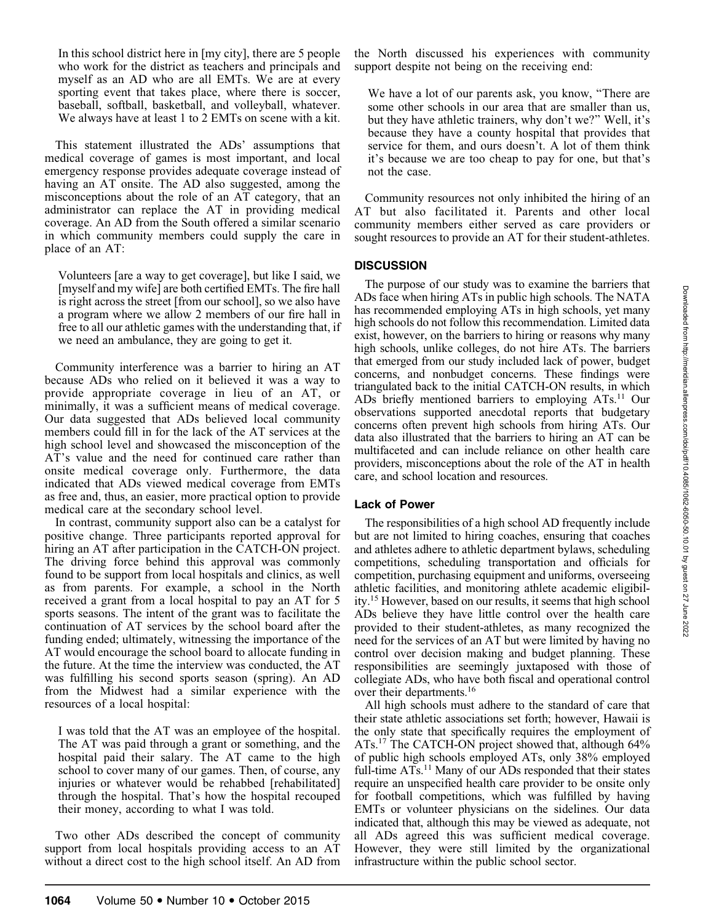In this school district here in [my city], there are 5 people who work for the district as teachers and principals and myself as an AD who are all EMTs. We are at every sporting event that takes place, where there is soccer, baseball, softball, basketball, and volleyball, whatever. We always have at least 1 to 2 EMTs on scene with a kit.

This statement illustrated the ADs' assumptions that medical coverage of games is most important, and local emergency response provides adequate coverage instead of having an AT onsite. The AD also suggested, among the misconceptions about the role of an AT category, that an administrator can replace the AT in providing medical coverage. An AD from the South offered a similar scenario in which community members could supply the care in place of an AT:

Volunteers [are a way to get coverage], but like I said, we [myself and my wife] are both certified EMTs. The fire hall is right across the street [from our school], so we also have a program where we allow 2 members of our fire hall in free to all our athletic games with the understanding that, if we need an ambulance, they are going to get it.

Community interference was a barrier to hiring an AT because ADs who relied on it believed it was a way to provide appropriate coverage in lieu of an AT, or minimally, it was a sufficient means of medical coverage. Our data suggested that ADs believed local community members could fill in for the lack of the AT services at the high school level and showcased the misconception of the AT's value and the need for continued care rather than onsite medical coverage only. Furthermore, the data indicated that ADs viewed medical coverage from EMTs as free and, thus, an easier, more practical option to provide medical care at the secondary school level.

In contrast, community support also can be a catalyst for positive change. Three participants reported approval for hiring an AT after participation in the CATCH-ON project. The driving force behind this approval was commonly found to be support from local hospitals and clinics, as well as from parents. For example, a school in the North received a grant from a local hospital to pay an AT for 5 sports seasons. The intent of the grant was to facilitate the continuation of AT services by the school board after the funding ended; ultimately, witnessing the importance of the AT would encourage the school board to allocate funding in the future. At the time the interview was conducted, the AT was fulfilling his second sports season (spring). An AD from the Midwest had a similar experience with the resources of a local hospital:

I was told that the AT was an employee of the hospital. The AT was paid through a grant or something, and the hospital paid their salary. The AT came to the high school to cover many of our games. Then, of course, any injuries or whatever would be rehabbed [rehabilitated] through the hospital. That's how the hospital recouped their money, according to what I was told.

Two other ADs described the concept of community support from local hospitals providing access to an AT without a direct cost to the high school itself. An AD from the North discussed his experiences with community support despite not being on the receiving end:

We have a lot of our parents ask, you know, ''There are some other schools in our area that are smaller than us, but they have athletic trainers, why don't we?'' Well, it's because they have a county hospital that provides that service for them, and ours doesn't. A lot of them think it's because we are too cheap to pay for one, but that's not the case.

Community resources not only inhibited the hiring of an AT but also facilitated it. Parents and other local community members either served as care providers or sought resources to provide an AT for their student-athletes.

## **DISCUSSION**

The purpose of our study was to examine the barriers that ADs face when hiring ATs in public high schools. The NATA has recommended employing ATs in high schools, yet many high schools do not follow this recommendation. Limited data exist, however, on the barriers to hiring or reasons why many high schools, unlike colleges, do not hire ATs. The barriers that emerged from our study included lack of power, budget concerns, and nonbudget concerns. These findings were triangulated back to the initial CATCH-ON results, in which ADs briefly mentioned barriers to employing ATs.<sup>11</sup> Our observations supported anecdotal reports that budgetary concerns often prevent high schools from hiring ATs. Our data also illustrated that the barriers to hiring an AT can be multifaceted and can include reliance on other health care providers, misconceptions about the role of the AT in health care, and school location and resources.

## Lack of Power

The responsibilities of a high school AD frequently include but are not limited to hiring coaches, ensuring that coaches and athletes adhere to athletic department bylaws, scheduling competitions, scheduling transportation and officials for competition, purchasing equipment and uniforms, overseeing athletic facilities, and monitoring athlete academic eligibility.15 However, based on our results, it seems that high school ADs believe they have little control over the health care provided to their student-athletes, as many recognized the need for the services of an AT but were limited by having no control over decision making and budget planning. These responsibilities are seemingly juxtaposed with those of collegiate ADs, who have both fiscal and operational control over their departments.<sup>16</sup>

All high schools must adhere to the standard of care that their state athletic associations set forth; however, Hawaii is the only state that specifically requires the employment of ATs.17 The CATCH-ON project showed that, although 64% of public high schools employed ATs, only 38% employed full-time  $A\overline{Is}$ .<sup>11</sup> Many of our ADs responded that their states require an unspecified health care provider to be onsite only for football competitions, which was fulfilled by having EMTs or volunteer physicians on the sidelines. Our data indicated that, although this may be viewed as adequate, not all ADs agreed this was sufficient medical coverage. However, they were still limited by the organizational infrastructure within the public school sector.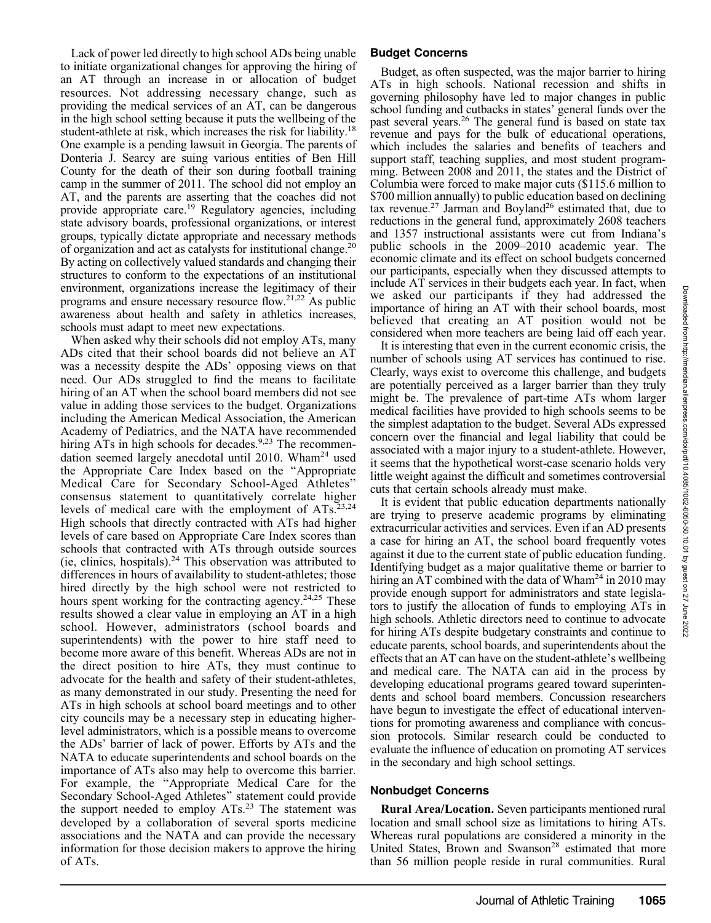Lack of power led directly to high school ADs being unable to initiate organizational changes for approving the hiring of an AT through an increase in or allocation of budget resources. Not addressing necessary change, such as providing the medical services of an AT, can be dangerous in the high school setting because it puts the wellbeing of the student-athlete at risk, which increases the risk for liability.<sup>18</sup> One example is a pending lawsuit in Georgia. The parents of Donteria J. Searcy are suing various entities of Ben Hill County for the death of their son during football training camp in the summer of 2011. The school did not employ an AT, and the parents are asserting that the coaches did not provide appropriate care.<sup>19</sup> Regulatory agencies, including state advisory boards, professional organizations, or interest groups, typically dictate appropriate and necessary methods of organization and act as catalysts for institutional change.20 By acting on collectively valued standards and changing their structures to conform to the expectations of an institutional environment, organizations increase the legitimacy of their programs and ensure necessary resource flow.21,22 As public awareness about health and safety in athletics increases, schools must adapt to meet new expectations.

When asked why their schools did not employ ATs, many ADs cited that their school boards did not believe an AT was a necessity despite the ADs' opposing views on that need. Our ADs struggled to find the means to facilitate hiring of an AT when the school board members did not see value in adding those services to the budget. Organizations including the American Medical Association, the American Academy of Pediatrics, and the NATA have recommended hiring  $\overline{ATS}$  in high schools for decades.<sup>9,23</sup> The recommendation seemed largely anecdotal until 2010. Wham<sup>24</sup> used the Appropriate Care Index based on the ''Appropriate Medical Care for Secondary School-Aged Athletes'' consensus statement to quantitatively correlate higher levels of medical care with the employment of  $ATs$ .<sup>23,24</sup> High schools that directly contracted with ATs had higher levels of care based on Appropriate Care Index scores than schools that contracted with ATs through outside sources (ie, clinics, hospitals). $24$  This observation was attributed to differences in hours of availability to student-athletes; those hired directly by the high school were not restricted to hours spent working for the contracting agency.<sup>24,25</sup> These results showed a clear value in employing an AT in a high school. However, administrators (school boards and superintendents) with the power to hire staff need to become more aware of this benefit. Whereas ADs are not in the direct position to hire ATs, they must continue to advocate for the health and safety of their student-athletes, as many demonstrated in our study. Presenting the need for ATs in high schools at school board meetings and to other city councils may be a necessary step in educating higherlevel administrators, which is a possible means to overcome the ADs' barrier of lack of power. Efforts by ATs and the NATA to educate superintendents and school boards on the importance of ATs also may help to overcome this barrier. For example, the ''Appropriate Medical Care for the Secondary School-Aged Athletes'' statement could provide the support needed to employ ATs.<sup>23</sup> The statement was developed by a collaboration of several sports medicine associations and the NATA and can provide the necessary information for those decision makers to approve the hiring of ATs.

## Budget Concerns

Budget, as often suspected, was the major barrier to hiring ATs in high schools. National recession and shifts in governing philosophy have led to major changes in public school funding and cutbacks in states' general funds over the past several years.<sup>26</sup> The general fund is based on state tax revenue and pays for the bulk of educational operations, which includes the salaries and benefits of teachers and support staff, teaching supplies, and most student programming. Between 2008 and 2011, the states and the District of Columbia were forced to make major cuts (\$115.6 million to \$700 million annually) to public education based on declining tax revenue.<sup>27</sup> Jarman and Boyland<sup>26</sup> estimated that, due to reductions in the general fund, approximately 2608 teachers and 1357 instructional assistants were cut from Indiana's public schools in the 2009–2010 academic year. The economic climate and its effect on school budgets concerned our participants, especially when they discussed attempts to include AT services in their budgets each year. In fact, when we asked our participants if they had addressed the importance of hiring an AT with their school boards, most believed that creating an AT position would not be considered when more teachers are being laid off each year.

It is interesting that even in the current economic crisis, the number of schools using AT services has continued to rise. Clearly, ways exist to overcome this challenge, and budgets are potentially perceived as a larger barrier than they truly might be. The prevalence of part-time ATs whom larger medical facilities have provided to high schools seems to be the simplest adaptation to the budget. Several ADs expressed concern over the financial and legal liability that could be associated with a major injury to a student-athlete. However, it seems that the hypothetical worst-case scenario holds very little weight against the difficult and sometimes controversial cuts that certain schools already must make.

It is evident that public education departments nationally are trying to preserve academic programs by eliminating extracurricular activities and services. Even if an AD presents a case for hiring an AT, the school board frequently votes against it due to the current state of public education funding. Identifying budget as a major qualitative theme or barrier to hiring an AT combined with the data of Wham<sup>24</sup> in 2010 may provide enough support for administrators and state legislators to justify the allocation of funds to employing ATs in high schools. Athletic directors need to continue to advocate for hiring ATs despite budgetary constraints and continue to educate parents, school boards, and superintendents about the effects that an AT can have on the student-athlete's wellbeing and medical care. The NATA can aid in the process by developing educational programs geared toward superintendents and school board members. Concussion researchers have begun to investigate the effect of educational interventions for promoting awareness and compliance with concussion protocols. Similar research could be conducted to evaluate the influence of education on promoting AT services in the secondary and high school settings.

## Nonbudget Concerns

Rural Area/Location. Seven participants mentioned rural location and small school size as limitations to hiring ATs. Whereas rural populations are considered a minority in the United States, Brown and Swanson<sup>28</sup> estimated that more than 56 million people reside in rural communities. Rural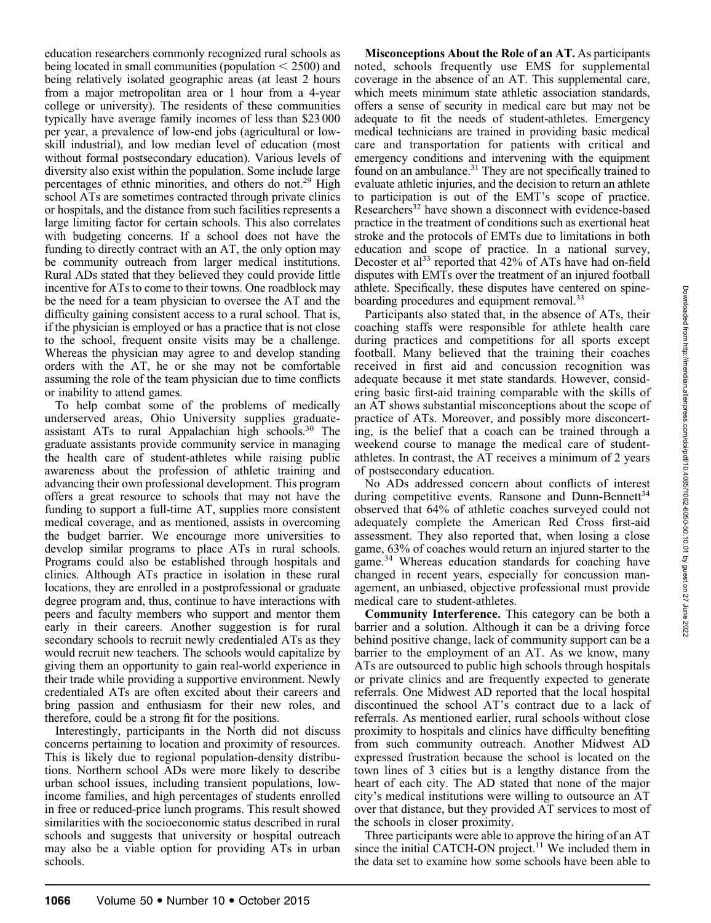education researchers commonly recognized rural schools as being located in small communities (population  $\leq$  2500) and being relatively isolated geographic areas (at least 2 hours from a major metropolitan area or 1 hour from a 4-year college or university). The residents of these communities typically have average family incomes of less than \$23 000 per year, a prevalence of low-end jobs (agricultural or lowskill industrial), and low median level of education (most without formal postsecondary education). Various levels of diversity also exist within the population. Some include large percentages of ethnic minorities, and others do not.<sup>29</sup> High school ATs are sometimes contracted through private clinics or hospitals, and the distance from such facilities represents a large limiting factor for certain schools. This also correlates with budgeting concerns. If a school does not have the funding to directly contract with an AT, the only option may be community outreach from larger medical institutions. Rural ADs stated that they believed they could provide little incentive for ATs to come to their towns. One roadblock may be the need for a team physician to oversee the AT and the difficulty gaining consistent access to a rural school. That is, if the physician is employed or has a practice that is not close to the school, frequent onsite visits may be a challenge. Whereas the physician may agree to and develop standing orders with the AT, he or she may not be comfortable assuming the role of the team physician due to time conflicts or inability to attend games.

To help combat some of the problems of medically underserved areas, Ohio University supplies graduateassistant ATs to rural Appalachian high schools.30 The graduate assistants provide community service in managing the health care of student-athletes while raising public awareness about the profession of athletic training and advancing their own professional development. This program offers a great resource to schools that may not have the funding to support a full-time AT, supplies more consistent medical coverage, and as mentioned, assists in overcoming the budget barrier. We encourage more universities to develop similar programs to place ATs in rural schools. Programs could also be established through hospitals and clinics. Although ATs practice in isolation in these rural locations, they are enrolled in a postprofessional or graduate degree program and, thus, continue to have interactions with peers and faculty members who support and mentor them early in their careers. Another suggestion is for rural secondary schools to recruit newly credentialed ATs as they would recruit new teachers. The schools would capitalize by giving them an opportunity to gain real-world experience in their trade while providing a supportive environment. Newly credentialed ATs are often excited about their careers and bring passion and enthusiasm for their new roles, and therefore, could be a strong fit for the positions.

Interestingly, participants in the North did not discuss concerns pertaining to location and proximity of resources. This is likely due to regional population-density distributions. Northern school ADs were more likely to describe urban school issues, including transient populations, lowincome families, and high percentages of students enrolled in free or reduced-price lunch programs. This result showed similarities with the socioeconomic status described in rural schools and suggests that university or hospital outreach may also be a viable option for providing ATs in urban schools.

Misconceptions About the Role of an AT. As participants noted, schools frequently use EMS for supplemental coverage in the absence of an AT. This supplemental care, which meets minimum state athletic association standards, offers a sense of security in medical care but may not be adequate to fit the needs of student-athletes. Emergency medical technicians are trained in providing basic medical care and transportation for patients with critical and emergency conditions and intervening with the equipment found on an ambulance.<sup>31</sup> They are not specifically trained to evaluate athletic injuries, and the decision to return an athlete to participation is out of the EMT's scope of practice. Researchers<sup>32</sup> have shown a disconnect with evidence-based practice in the treatment of conditions such as exertional heat stroke and the protocols of EMTs due to limitations in both education and scope of practice. In a national survey, Decoster et al<sup>33</sup> reported that 42% of ATs have had on-field disputes with EMTs over the treatment of an injured football athlete. Specifically, these disputes have centered on spineboarding procedures and equipment removal.<sup>33</sup>

Participants also stated that, in the absence of ATs, their coaching staffs were responsible for athlete health care during practices and competitions for all sports except football. Many believed that the training their coaches received in first aid and concussion recognition was adequate because it met state standards. However, considering basic first-aid training comparable with the skills of an AT shows substantial misconceptions about the scope of practice of ATs. Moreover, and possibly more disconcerting, is the belief that a coach can be trained through a weekend course to manage the medical care of studentathletes. In contrast, the AT receives a minimum of 2 years of postsecondary education.

No ADs addressed concern about conflicts of interest during competitive events. Ransone and Dunn-Bennett<sup>34</sup> observed that 64% of athletic coaches surveyed could not adequately complete the American Red Cross first-aid assessment. They also reported that, when losing a close game, 63% of coaches would return an injured starter to the game.<sup>34</sup> Whereas education standards for coaching have changed in recent years, especially for concussion management, an unbiased, objective professional must provide medical care to student-athletes.

Community Interference. This category can be both a barrier and a solution. Although it can be a driving force behind positive change, lack of community support can be a barrier to the employment of an AT. As we know, many ATs are outsourced to public high schools through hospitals or private clinics and are frequently expected to generate referrals. One Midwest AD reported that the local hospital discontinued the school AT's contract due to a lack of referrals. As mentioned earlier, rural schools without close proximity to hospitals and clinics have difficulty benefiting from such community outreach. Another Midwest AD expressed frustration because the school is located on the town lines of 3 cities but is a lengthy distance from the heart of each city. The AD stated that none of the major city's medical institutions were willing to outsource an AT over that distance, but they provided AT services to most of the schools in closer proximity.

Three participants were able to approve the hiring of an AT since the initial CATCH-ON project.<sup>11</sup> We included them in the data set to examine how some schools have been able to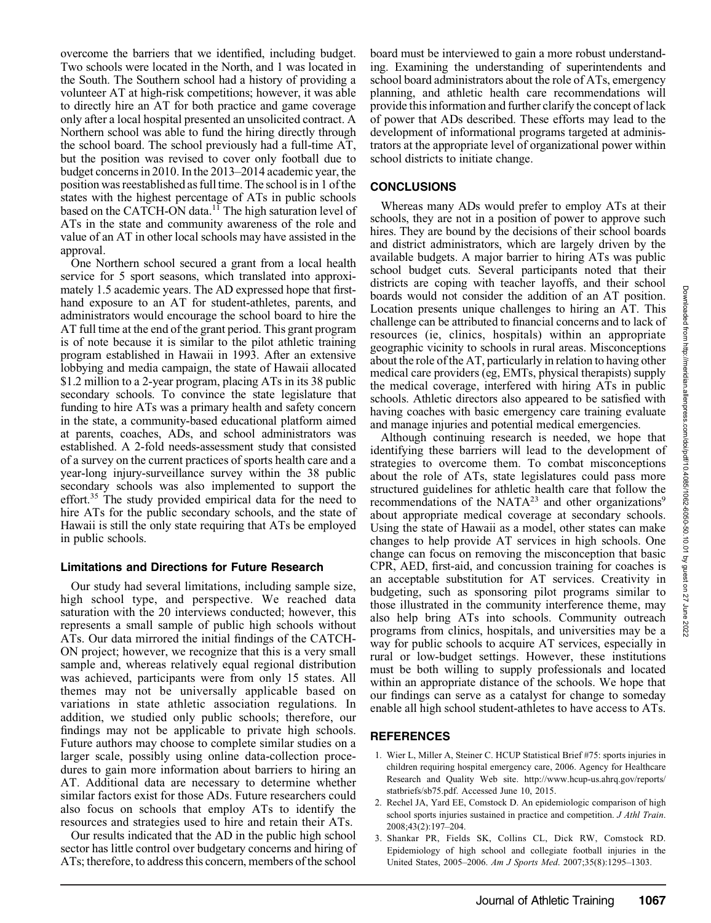overcome the barriers that we identified, including budget. Two schools were located in the North, and 1 was located in the South. The Southern school had a history of providing a volunteer AT at high-risk competitions; however, it was able to directly hire an AT for both practice and game coverage only after a local hospital presented an unsolicited contract. A Northern school was able to fund the hiring directly through the school board. The school previously had a full-time AT, but the position was revised to cover only football due to budget concerns in 2010. In the 2013–2014 academic year, the position was reestablished as full time. The school is in 1 of the states with the highest percentage of ATs in public schools based on the CATCH-ON data.<sup>11</sup> The high saturation level of ATs in the state and community awareness of the role and value of an AT in other local schools may have assisted in the approval.

One Northern school secured a grant from a local health service for 5 sport seasons, which translated into approximately 1.5 academic years. The AD expressed hope that firsthand exposure to an AT for student-athletes, parents, and administrators would encourage the school board to hire the AT full time at the end of the grant period. This grant program is of note because it is similar to the pilot athletic training program established in Hawaii in 1993. After an extensive lobbying and media campaign, the state of Hawaii allocated \$1.2 million to a 2-year program, placing ATs in its 38 public secondary schools. To convince the state legislature that funding to hire ATs was a primary health and safety concern in the state, a community-based educational platform aimed at parents, coaches, ADs, and school administrators was established. A 2-fold needs-assessment study that consisted of a survey on the current practices of sports health care and a year-long injury-surveillance survey within the 38 public secondary schools was also implemented to support the effort.<sup>35</sup> The study provided empirical data for the need to hire ATs for the public secondary schools, and the state of Hawaii is still the only state requiring that ATs be employed in public schools.

## Limitations and Directions for Future Research

Our study had several limitations, including sample size, high school type, and perspective. We reached data saturation with the 20 interviews conducted; however, this represents a small sample of public high schools without ATs. Our data mirrored the initial findings of the CATCH-ON project; however, we recognize that this is a very small sample and, whereas relatively equal regional distribution was achieved, participants were from only 15 states. All themes may not be universally applicable based on variations in state athletic association regulations. In addition, we studied only public schools; therefore, our findings may not be applicable to private high schools. Future authors may choose to complete similar studies on a larger scale, possibly using online data-collection procedures to gain more information about barriers to hiring an AT. Additional data are necessary to determine whether similar factors exist for those ADs. Future researchers could also focus on schools that employ ATs to identify the resources and strategies used to hire and retain their ATs.

Our results indicated that the AD in the public high school sector has little control over budgetary concerns and hiring of ATs; therefore, to address this concern, members of the school board must be interviewed to gain a more robust understanding. Examining the understanding of superintendents and school board administrators about the role of ATs, emergency planning, and athletic health care recommendations will provide this information and further clarify the concept of lack of power that ADs described. These efforts may lead to the development of informational programs targeted at administrators at the appropriate level of organizational power within school districts to initiate change.

## **CONCLUSIONS**

Whereas many ADs would prefer to employ ATs at their schools, they are not in a position of power to approve such hires. They are bound by the decisions of their school boards and district administrators, which are largely driven by the available budgets. A major barrier to hiring ATs was public school budget cuts. Several participants noted that their districts are coping with teacher layoffs, and their school boards would not consider the addition of an AT position. Location presents unique challenges to hiring an AT. This challenge can be attributed to financial concerns and to lack of resources (ie, clinics, hospitals) within an appropriate geographic vicinity to schools in rural areas. Misconceptions about the role of the AT, particularly in relation to having other medical care providers (eg, EMTs, physical therapists) supply the medical coverage, interfered with hiring ATs in public schools. Athletic directors also appeared to be satisfied with having coaches with basic emergency care training evaluate and manage injuries and potential medical emergencies.

Although continuing research is needed, we hope that identifying these barriers will lead to the development of strategies to overcome them. To combat misconceptions about the role of ATs, state legislatures could pass more structured guidelines for athletic health care that follow the recommendations of the NATA<sup>23</sup> and other organizations<sup>9</sup> about appropriate medical coverage at secondary schools. Using the state of Hawaii as a model, other states can make changes to help provide AT services in high schools. One change can focus on removing the misconception that basic CPR, AED, first-aid, and concussion training for coaches is an acceptable substitution for AT services. Creativity in budgeting, such as sponsoring pilot programs similar to those illustrated in the community interference theme, may also help bring ATs into schools. Community outreach programs from clinics, hospitals, and universities may be a way for public schools to acquire AT services, especially in rural or low-budget settings. However, these institutions must be both willing to supply professionals and located within an appropriate distance of the schools. We hope that our findings can serve as a catalyst for change to someday enable all high school student-athletes to have access to ATs.

## **REFERENCES**

- 1. Wier L, Miller A, Steiner C. HCUP Statistical Brief #75: sports injuries in children requiring hospital emergency care, 2006. Agency for Healthcare Research and Quality Web site. http://www.hcup-us.ahrq.gov/reports/ statbriefs/sb75.pdf. Accessed June 10, 2015.
- 2. Rechel JA, Yard EE, Comstock D. An epidemiologic comparison of high school sports injuries sustained in practice and competition. J Athl Train. 2008;43(2):197–204.
- 3. Shankar PR, Fields SK, Collins CL, Dick RW, Comstock RD. Epidemiology of high school and collegiate football injuries in the United States, 2005–2006. Am J Sports Med. 2007;35(8):1295–1303.